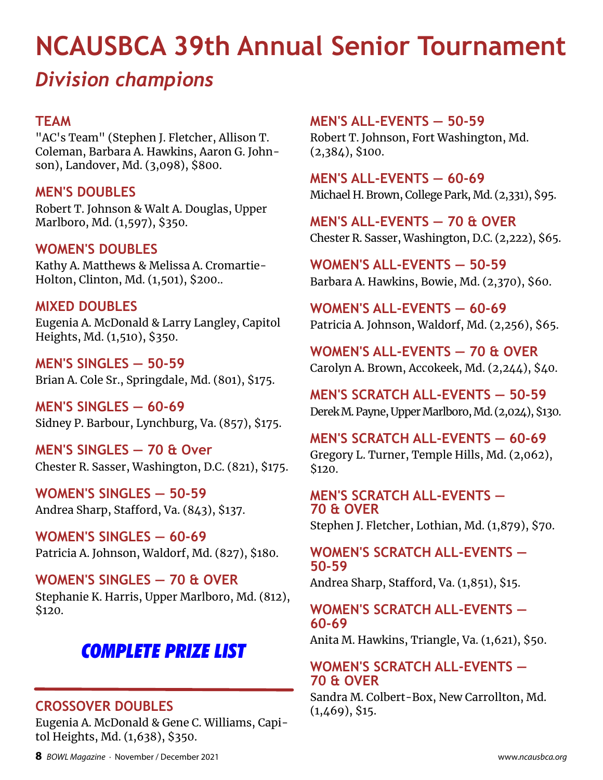# **NCAUSBCA 39th Annual Senior Tournament**

# *Division champions*

### **TEAM**

"AC's Team" (Stephen J. Fletcher, Allison T. Coleman, Barbara A. Hawkins, Aaron G. Johnson), Landover, Md. (3,098), \$800.

#### **MEN'S DOUBLES**

Robert T. Johnson & Walt A. Douglas, Upper Marlboro, Md. (1,597), \$350.

#### **WOMEN'S DOUBLES**

Kathy A. Matthews & Melissa A. Cromartie-Holton, Clinton, Md. (1,501), \$200..

#### **MIXED DOUBLES**

Eugenia A. McDonald & Larry Langley, Capitol Heights, Md. (1,510), \$350.

**MEN'S SINGLES — 50-59** Brian A. Cole Sr., Springdale, Md. (801), \$175.

**MEN'S SINGLES — 60-69** Sidney P. Barbour, Lynchburg, Va. (857), \$175.

**MEN'S SINGLES — 70 & Over** Chester R. Sasser, Washington, D.C. (821), \$175.

**WOMEN'S SINGLES — 50-59** Andrea Sharp, Stafford, Va. (843), \$137.

**WOMEN'S SINGLES — 60-69** Patricia A. Johnson, Waldorf, Md. (827), \$180.

**WOMEN'S SINGLES — 70 & OVER** Stephanie K. Harris, Upper Marlboro, Md. (812), \$120.

## *COMPLETE PRIZE LIST*

### **CROSSOVER DOUBLES**

Eugenia A. McDonald & Gene C. Williams, Capitol Heights, Md. (1,638), \$350.

**MEN'S ALL-EVENTS — 50-59**

Robert T. Johnson, Fort Washington, Md. (2,384), \$100.

**MEN'S ALL-EVENTS — 60-69** Michael H. Brown, College Park, Md. (2,331), \$95.

**MEN'S ALL-EVENTS — 70 & OVER** Chester R. Sasser, Washington, D.C. (2,222), \$65.

**WOMEN'S ALL-EVENTS — 50-59** Barbara A. Hawkins, Bowie, Md. (2,370), \$60.

**WOMEN'S ALL-EVENTS — 60-69** Patricia A. Johnson, Waldorf, Md. (2,256), \$65.

**WOMEN'S ALL-EVENTS — 70 & OVER** Carolyn A. Brown, Accokeek, Md. (2,244), \$40.

**MEN'S SCRATCH ALL-EVENTS — 50-59** Derek M. Payne, Upper Marlboro, Md. (2,024), \$130.

**MEN'S SCRATCH ALL-EVENTS — 60-69** Gregory L. Turner, Temple Hills, Md. (2,062), \$120.

**MEN'S SCRATCH ALL-EVENTS — 70 & OVER** Stephen J. Fletcher, Lothian, Md. (1,879), \$70.

**WOMEN'S SCRATCH ALL-EVENTS — 50-59**

Andrea Sharp, Stafford, Va. (1,851), \$15.

#### **WOMEN'S SCRATCH ALL-EVENTS — 60-69**

Anita M. Hawkins, Triangle, Va. (1,621), \$50.

#### **WOMEN'S SCRATCH ALL-EVENTS — 70 & OVER**

Sandra M. Colbert-Box, New Carrollton, Md.  $(1,469)$ , \$15.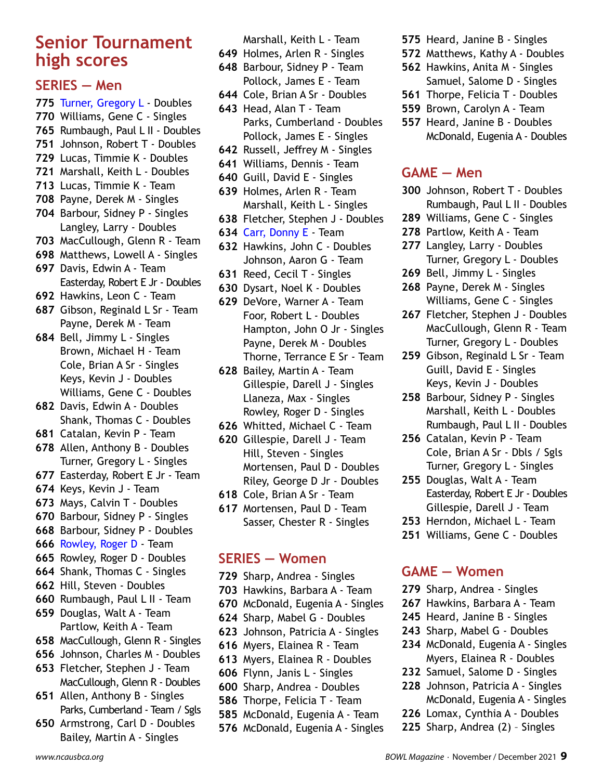## **Senior Tournament high scores**

#### **SERIES — Men**

- Turner, Gregory L Doubles Williams, Gene C - Singles Rumbaugh, Paul L II - Doubles Johnson, Robert T - Doubles Lucas, Timmie K - Doubles Marshall, Keith L - Doubles Lucas, Timmie K - Team Payne, Derek M - Singles Barbour, Sidney P - Singles Langley, Larry - Doubles MacCullough, Glenn R - Team Matthews, Lowell A - Singles Davis, Edwin A - Team Easterday, Robert E Jr - Doubles Hawkins, Leon C - Team Gibson, Reginald L Sr - Team Payne, Derek M - Team Bell, Jimmy L - Singles Brown, Michael H - Team Cole, Brian A Sr - Singles
- Keys, Kevin J Doubles Williams, Gene C - Doubles Davis, Edwin A - Doubles
- Shank, Thomas C Doubles
- Catalan, Kevin P Team
- Allen, Anthony B Doubles Turner, Gregory L - Singles
- Easterday, Robert E Jr Team
- Keys, Kevin J Team
- Mays, Calvin T Doubles
- Barbour, Sidney P Singles
- Barbour, Sidney P Doubles
- Rowley, Roger D Team
- Rowley, Roger D Doubles
- Shank, Thomas C Singles
- Hill, Steven Doubles
- Rumbaugh, Paul L II Team
- Douglas, Walt A Team Partlow, Keith A - Team
- MacCullough, Glenn R Singles
- Johnson, Charles M Doubles
- Fletcher, Stephen J Team MacCullough, Glenn R - Doubles
- Allen, Anthony B Singles Parks, Cumberland - Team / Sgls
- Armstrong, Carl D Doubles Bailey, Martin A - Singles

Marshall, Keith L - Team

- Holmes, Arlen R Singles
- Barbour, Sidney P Team Pollock, James E - Team
- Cole, Brian A Sr Doubles
- Head, Alan T Team Parks, Cumberland - Doubles Pollock, James E - Singles
- Russell, Jeffrey M Singles
- Williams, Dennis Team
- Guill, David E Singles
- Holmes, Arlen R Team Marshall, Keith L - Singles
- Fletcher, Stephen J Doubles
- Carr, Donny E Team
- Hawkins, John C Doubles Johnson, Aaron G - Team
- Reed, Cecil T Singles
- Dysart, Noel K Doubles
- DeVore, Warner A Team Foor, Robert L - Doubles Hampton, John O Jr - Singles Payne, Derek M - Doubles Thorne, Terrance E Sr - Team
- Bailey, Martin A Team Gillespie, Darell J - Singles Llaneza, Max - Singles Rowley, Roger D - Singles
- Whitted, Michael C Team
- Gillespie, Darell J Team Hill, Steven - Singles Mortensen, Paul D - Doubles Riley, George D Jr - Doubles
- Cole, Brian A Sr Team
- Mortensen, Paul D Team Sasser, Chester R - Singles

#### **SERIES — Women**

- Sharp, Andrea Singles
- Hawkins, Barbara A Team
- McDonald, Eugenia A Singles
- Sharp, Mabel G Doubles
- Johnson, Patricia A Singles
- Myers, Elainea R Team
- Myers, Elainea R Doubles
- Flynn, Janis L Singles
- Sharp, Andrea Doubles
- Thorpe, Felicia T Team
- McDonald, Eugenia A Team
- McDonald, Eugenia A Singles
- Heard, Janine B Singles
- Matthews, Kathy A Doubles
- Hawkins, Anita M Singles Samuel, Salome D - Singles
- Thorpe, Felicia T Doubles
- Brown, Carolyn A Team
- Heard, Janine B Doubles McDonald, Eugenia A - Doubles

#### **GAME — Men**

- Johnson, Robert T Doubles Rumbaugh, Paul L II - Doubles
- Williams, Gene C Singles
- Partlow, Keith A Team
- Langley, Larry Doubles Turner, Gregory L - Doubles
- Bell, Jimmy L Singles
- Payne, Derek M Singles Williams, Gene C - Singles
- Fletcher, Stephen J Doubles MacCullough, Glenn R - Team Turner, Gregory L - Doubles
- Gibson, Reginald L Sr Team Guill, David E - Singles Keys, Kevin J - Doubles
- Barbour, Sidney P Singles Marshall, Keith L - Doubles Rumbaugh, Paul L II - Doubles
- Catalan, Kevin P Team Cole, Brian A Sr - Dbls / Sgls Turner, Gregory L - Singles
- Douglas, Walt A Team Easterday, Robert E Jr - Doubles Gillespie, Darell J - Team
- Herndon, Michael L Team
- Williams, Gene C Doubles

#### **GAME — Women**

- Sharp, Andrea Singles
- Hawkins, Barbara A Team
- Heard, Janine B Singles
- Sharp, Mabel G Doubles
- McDonald, Eugenia A Singles Myers, Elainea R - Doubles
- Samuel, Salome D Singles
- Johnson, Patricia A Singles McDonald, Eugenia A - Singles
- Lomax, Cynthia A Doubles
	- Sharp, Andrea (2) Singles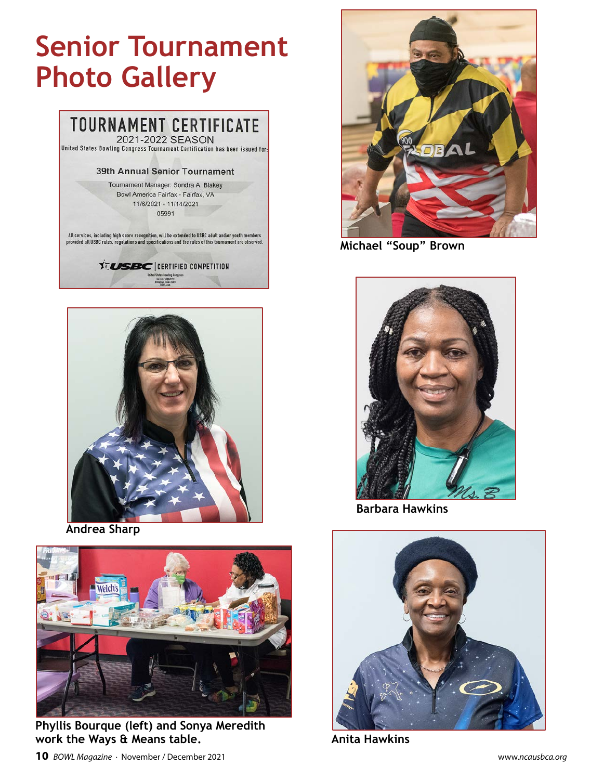# **Senior Tournament Photo Gallery**





**Andrea Sharp**



**Phyllis Bourque (left) and Sonya Meredith work the Ways & Means table.**



**Michael "Soup" Brown**



**Barbara Hawkins**



**Anita Hawkins**